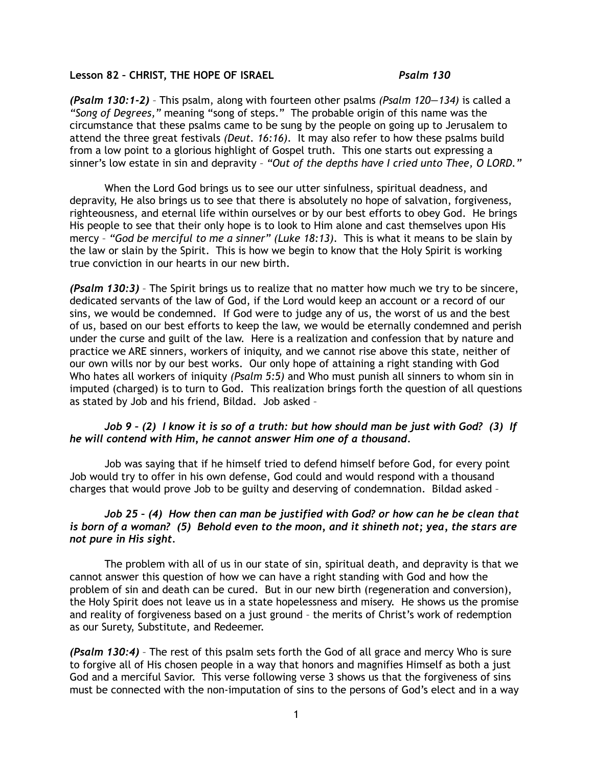## **Lesson 82 – CHRIST, THE HOPE OF ISRAEL** *Psalm 130*

*(Psalm 130:1-2)* – This psalm, along with fourteen other psalms *(Psalm 120—134)* is called a *"Song of Degrees,"* meaning "song of steps." The probable origin of this name was the circumstance that these psalms came to be sung by the people on going up to Jerusalem to attend the three great festivals *(Deut. 16:16)*. It may also refer to how these psalms build from a low point to a glorious highlight of Gospel truth. This one starts out expressing a sinner's low estate in sin and depravity – *"Out of the depths have I cried unto Thee, O LORD."*

When the Lord God brings us to see our utter sinfulness, spiritual deadness, and depravity, He also brings us to see that there is absolutely no hope of salvation, forgiveness, righteousness, and eternal life within ourselves or by our best efforts to obey God. He brings His people to see that their only hope is to look to Him alone and cast themselves upon His mercy – *"God be merciful to me a sinner" (Luke 18:13)*. This is what it means to be slain by the law or slain by the Spirit. This is how we begin to know that the Holy Spirit is working true conviction in our hearts in our new birth.

*(Psalm 130:3)* – The Spirit brings us to realize that no matter how much we try to be sincere, dedicated servants of the law of God, if the Lord would keep an account or a record of our sins, we would be condemned. If God were to judge any of us, the worst of us and the best of us, based on our best efforts to keep the law, we would be eternally condemned and perish under the curse and guilt of the law. Here is a realization and confession that by nature and practice we ARE sinners, workers of iniquity, and we cannot rise above this state, neither of our own wills nor by our best works. Our only hope of attaining a right standing with God Who hates all workers of iniquity *(Psalm 5:5)* and Who must punish all sinners to whom sin in imputed (charged) is to turn to God. This realization brings forth the question of all questions as stated by Job and his friend, Bildad. Job asked –

## *Job 9 – (2) I know it is so of a truth: but how should man be just with God? (3) If he will contend with Him, he cannot answer Him one of a thousand.*

 Job was saying that if he himself tried to defend himself before God, for every point Job would try to offer in his own defense, God could and would respond with a thousand charges that would prove Job to be guilty and deserving of condemnation. Bildad asked –

## *Job 25 – (4) How then can man be justified with God? or how can he be clean that is born of a woman? (5) Behold even to the moon, and it shineth not; yea, the stars are not pure in His sight.*

 The problem with all of us in our state of sin, spiritual death, and depravity is that we cannot answer this question of how we can have a right standing with God and how the problem of sin and death can be cured. But in our new birth (regeneration and conversion), the Holy Spirit does not leave us in a state hopelessness and misery. He shows us the promise and reality of forgiveness based on a just ground – the merits of Christ's work of redemption as our Surety, Substitute, and Redeemer.

*(Psalm 130:4)* – The rest of this psalm sets forth the God of all grace and mercy Who is sure to forgive all of His chosen people in a way that honors and magnifies Himself as both a just God and a merciful Savior. This verse following verse 3 shows us that the forgiveness of sins must be connected with the non-imputation of sins to the persons of God's elect and in a way